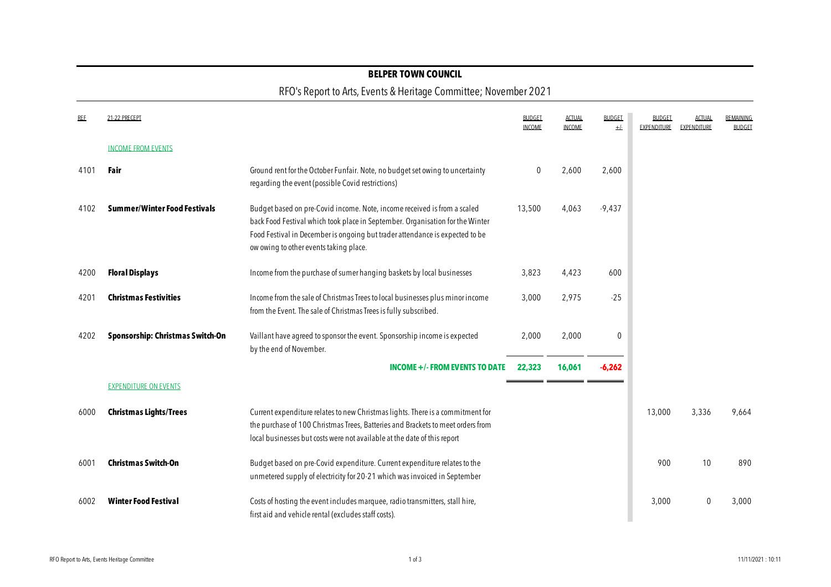### **BELPER TOWN COUNCIL**

### RFO's Report to Arts, Events & Heritage Committee; November 2021

| <b>REE</b> | 21-22 PRECEPT                       |                                                                                                                                                                                                                                                                                     | <b>BUDGET</b><br><b>INCOME</b> | <b>ACTUAL</b><br><b>INCOME</b> | <b>BUDGET</b><br>$+/-$ | BUDGET<br><b>EXPENDITURE</b> | ACTUAI<br><b>EXPENDITURE</b> | REMAINING<br><b>BUDGET</b> |
|------------|-------------------------------------|-------------------------------------------------------------------------------------------------------------------------------------------------------------------------------------------------------------------------------------------------------------------------------------|--------------------------------|--------------------------------|------------------------|------------------------------|------------------------------|----------------------------|
|            | <b>INCOME FROM EVENTS</b>           |                                                                                                                                                                                                                                                                                     |                                |                                |                        |                              |                              |                            |
| 4101       | Fair                                | Ground rent for the October Funfair. Note, no budget set owing to uncertainty<br>regarding the event (possible Covid restrictions)                                                                                                                                                  | $\mathbf{0}$                   | 2,600                          | 2,600                  |                              |                              |                            |
| 4102       | <b>Summer/Winter Food Festivals</b> | Budget based on pre-Covid income. Note, income received is from a scaled<br>back Food Festival which took place in September. Organisation for the Winter<br>Food Festival in December is ongoing but trader attendance is expected to be<br>ow owing to other events taking place. | 13,500                         | 4,063                          | $-9,437$               |                              |                              |                            |
| 4200       | <b>Floral Displays</b>              | Income from the purchase of sumer hanging baskets by local businesses                                                                                                                                                                                                               | 3,823                          | 4,423                          | 600                    |                              |                              |                            |
| 4201       | <b>Christmas Festivities</b>        | Income from the sale of Christmas Trees to local businesses plus minor income<br>from the Event. The sale of Christmas Trees is fully subscribed.                                                                                                                                   | 3,000                          | 2,975                          | $-25$                  |                              |                              |                            |
| 4202       | Sponsorship: Christmas Switch-On    | Vaillant have agreed to sponsor the event. Sponsorship income is expected<br>by the end of November.                                                                                                                                                                                | 2,000                          | 2,000                          | 0                      |                              |                              |                            |
|            |                                     | <b>INCOME +/- FROM EVENTS TO DATE</b>                                                                                                                                                                                                                                               | 22,323                         | 16,061                         | -6.262                 |                              |                              |                            |
|            | <b>EXPENDITURE ON EVENTS</b>        |                                                                                                                                                                                                                                                                                     |                                |                                |                        |                              |                              |                            |
| 6000       | <b>Christmas Lights/Trees</b>       | Current expenditure relates to new Christmas lights. There is a commitment for<br>the purchase of 100 Christmas Trees, Batteries and Brackets to meet orders from<br>local businesses but costs were not available at the date of this report                                       |                                |                                |                        | 13,000                       | 3,336                        | 9.664                      |
| 6001       | <b>Christmas Switch-On</b>          | Budget based on pre-Covid expenditure. Current expenditure relates to the<br>unmetered supply of electricity for 20-21 which was invoiced in September                                                                                                                              |                                |                                |                        | 900                          | 10                           | 890                        |
| 6002       | <b>Winter Food Festival</b>         | Costs of hosting the event includes marquee, radio transmitters, stall hire,<br>first aid and vehicle rental (excludes staff costs).                                                                                                                                                |                                |                                |                        | 3,000                        | $\Omega$                     | 3,000                      |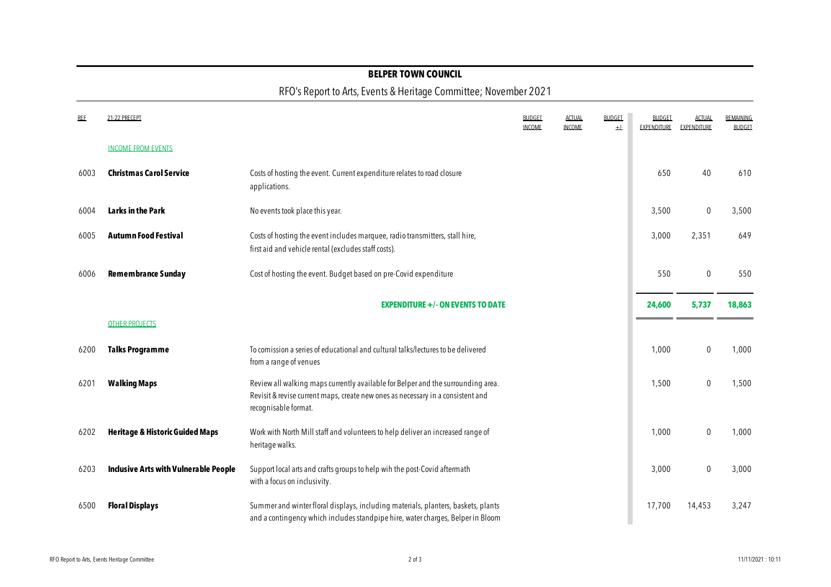#### **BELPER TOWN COUNCIL**

## RFO's Report to Arts, Events & Heritage Committee; November 2021

| <b>REE</b> | 21-22 PRECEPT                                |                                                                                                                                                                                             | <b>BUDGET</b><br><b>INCOME</b> | <b>ACTUAL</b><br><b>INCOME</b> | <b>BUDGET</b><br>$+/-$ | <b>BUDGET</b><br>EXPENDITURE | <b>ACTUAL</b><br>EXPENDITURE | <b>REMAINING</b><br><b>BUDGET</b> |
|------------|----------------------------------------------|---------------------------------------------------------------------------------------------------------------------------------------------------------------------------------------------|--------------------------------|--------------------------------|------------------------|------------------------------|------------------------------|-----------------------------------|
|            | <b>INCOME FROM EVENTS</b>                    |                                                                                                                                                                                             |                                |                                |                        |                              |                              |                                   |
| 6003       | <b>Christmas Carol Service</b>               | Costs of hosting the event. Current expenditure relates to road closure<br>applications.                                                                                                    |                                |                                |                        | 650                          | 40                           | 610                               |
| 6004       | Larks in the Park                            | No events took place this year.                                                                                                                                                             |                                |                                |                        | 3,500                        | $\mathbf 0$                  | 3,500                             |
| 6005       | <b>Autumn Food Festival</b>                  | Costs of hosting the event includes marquee, radio transmitters, stall hire,<br>first aid and vehicle rental (excludes staff costs).                                                        |                                |                                |                        | 3,000                        | 2,351                        | 649                               |
| 6006       | <b>Remembrance Sunday</b>                    | Cost of hosting the event. Budget based on pre-Covid expenditure                                                                                                                            |                                |                                |                        | 550                          | $\mathbf 0$                  | 550                               |
|            |                                              | <b>EXPENDITURE +/- ON EVENTS TO DATE</b>                                                                                                                                                    |                                |                                |                        | 24,600                       | 5,737                        | 18,863                            |
|            | <b>OTHER PROJECTS</b>                        |                                                                                                                                                                                             |                                |                                |                        |                              |                              |                                   |
| 6200       | <b>Talks Programme</b>                       | To comission a series of educational and cultural talks/lectures to be delivered<br>from a range of venues                                                                                  |                                |                                |                        | 1,000                        | $\mathbf 0$                  | 1,000                             |
| 6201       | <b>Walking Maps</b>                          | Review all walking maps currently available for Belper and the surrounding area.<br>Revisit & revise current maps, create new ones as necessary in a consistent and<br>recognisable format. |                                |                                |                        | 1,500                        | $\mathbf 0$                  | 1,500                             |
| 6202       | <b>Heritage &amp; Historic Guided Maps</b>   | Work with North Mill staff and volunteers to help deliver an increased range of<br>heritage walks.                                                                                          |                                |                                |                        | 1,000                        | $\mathbf 0$                  | 1,000                             |
| 6203       | <b>Inclusive Arts with Vulnerable People</b> | Support local arts and crafts groups to help wih the post-Covid aftermath<br>with a focus on inclusivity.                                                                                   |                                |                                |                        | 3,000                        | $\mathbf 0$                  | 3,000                             |
| 6500       | <b>Floral Displays</b>                       | Summer and winter floral displays, including materials, planters, baskets, plants<br>and a contingency which includes standpipe hire, water charges, Belper in Bloom                        |                                |                                |                        | 17,700                       | 14,453                       | 3,247                             |